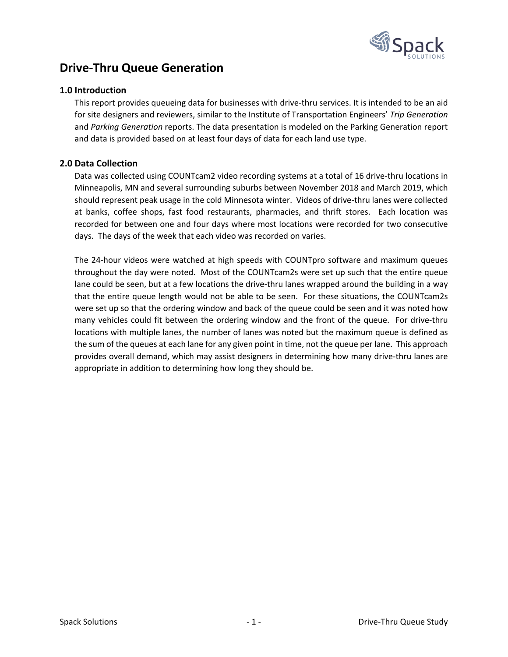

# **Drive-Thru Queue Generation**

## **1.0 Introduction**

This report provides queueing data for businesses with drive-thru services. It is intended to be an aid for site designers and reviewers, similar to the Institute of Transportation Engineers' *Trip Generation* and *Parking Generation* reports. The data presentation is modeled on the Parking Generation report and data is provided based on at least four days of data for each land use type.

## **2.0 Data Collection**

Data was collected using COUNTcam2 video recording systems at a total of 16 drive-thru locations in Minneapolis, MN and several surrounding suburbs between November 2018 and March 2019, which should represent peak usage in the cold Minnesota winter. Videos of drive-thru lanes were collected at banks, coffee shops, fast food restaurants, pharmacies, and thrift stores. Each location was recorded for between one and four days where most locations were recorded for two consecutive days. The days of the week that each video was recorded on varies.

The 24-hour videos were watched at high speeds with COUNTpro software and maximum queues throughout the day were noted. Most of the COUNTcam2s were set up such that the entire queue lane could be seen, but at a few locations the drive-thru lanes wrapped around the building in a way that the entire queue length would not be able to be seen. For these situations, the COUNTcam2s were set up so that the ordering window and back of the queue could be seen and it was noted how many vehicles could fit between the ordering window and the front of the queue. For drive-thru locations with multiple lanes, the number of lanes was noted but the maximum queue is defined as the sum of the queues at each lane for any given point in time, not the queue per lane. This approach provides overall demand, which may assist designers in determining how many drive-thru lanes are appropriate in addition to determining how long they should be.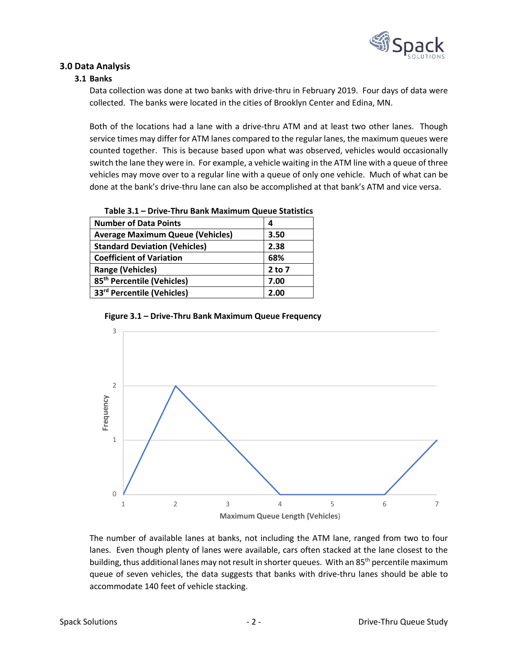

## **3.0 Data Analysis**

## **3.1 Banks**

Data collection was done at two banks with drive-thru in February 2019. Four days of data were collected. The banks were located in the cities of Brooklyn Center and Edina, MN.

Both of the locations had a lane with a drive-thru ATM and at least two other lanes. Though service times may differ for ATM lanes compared to the regular lanes, the maximum queues were counted together. This is because based upon what was observed, vehicles would occasionally switch the lane they were in. For example, a vehicle waiting in the ATM line with a queue of three vehicles may move over to a regular line with a queue of only one vehicle. Much of what can be done at the bank's drive-thru lane can also be accomplished at that bank's ATM and vice versa.

| <b>Number of Data Points</b>            | 4          |
|-----------------------------------------|------------|
| <b>Average Maximum Queue (Vehicles)</b> | 3.50       |
| <b>Standard Deviation (Vehicles)</b>    | 2.38       |
| <b>Coefficient of Variation</b>         | 68%        |
| <b>Range (Vehicles)</b>                 | $2$ to $7$ |
| 85 <sup>th</sup> Percentile (Vehicles)  | 7.00       |
| 33rd Percentile (Vehicles)              | 2.00       |
|                                         |            |

#### **Table 3.1 – Drive-Thru Bank Maximum Queue Statistics**





The number of available lanes at banks, not including the ATM lane, ranged from two to four lanes. Even though plenty of lanes were available, cars often stacked at the lane closest to the building, thus additional lanes may not result in shorter queues. With an 85<sup>th</sup> percentile maximum queue of seven vehicles, the data suggests that banks with drive-thru lanes should be able to accommodate 140 feet of vehicle stacking.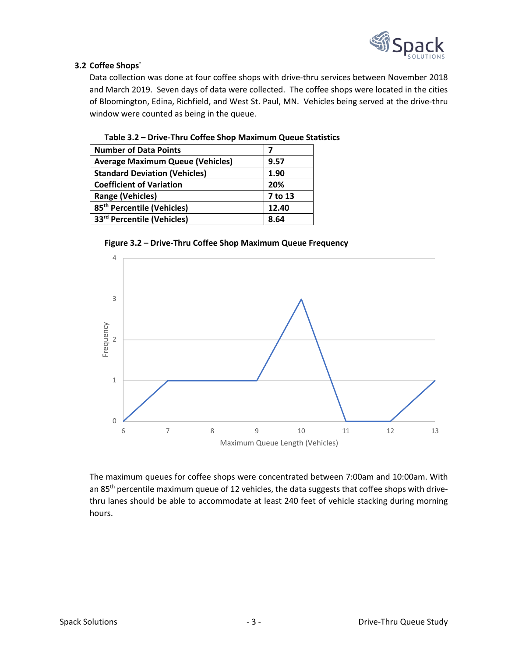

# **3.2 Coffee Shops˙**

Data collection was done at four coffee shops with drive-thru services between November 2018 and March 2019. Seven days of data were collected. The coffee shops were located in the cities of Bloomington, Edina, Richfield, and West St. Paul, MN. Vehicles being served at the drive-thru window were counted as being in the queue.

| <b>Number of Data Points</b>            |         |
|-----------------------------------------|---------|
| <b>Average Maximum Queue (Vehicles)</b> | 9.57    |
| <b>Standard Deviation (Vehicles)</b>    | 1.90    |
| <b>Coefficient of Variation</b>         | 20%     |
| <b>Range (Vehicles)</b>                 | 7 to 13 |
| 85 <sup>th</sup> Percentile (Vehicles)  | 12.40   |
| 33 <sup>rd</sup> Percentile (Vehicles)  | 8.64    |

## **Table 3.2 – Drive-Thru Coffee Shop Maximum Queue Statistics**

## **Figure 3.2 – Drive-Thru Coffee Shop Maximum Queue Frequency**



The maximum queues for coffee shops were concentrated between 7:00am and 10:00am. With an 85<sup>th</sup> percentile maximum queue of 12 vehicles, the data suggests that coffee shops with drivethru lanes should be able to accommodate at least 240 feet of vehicle stacking during morning hours.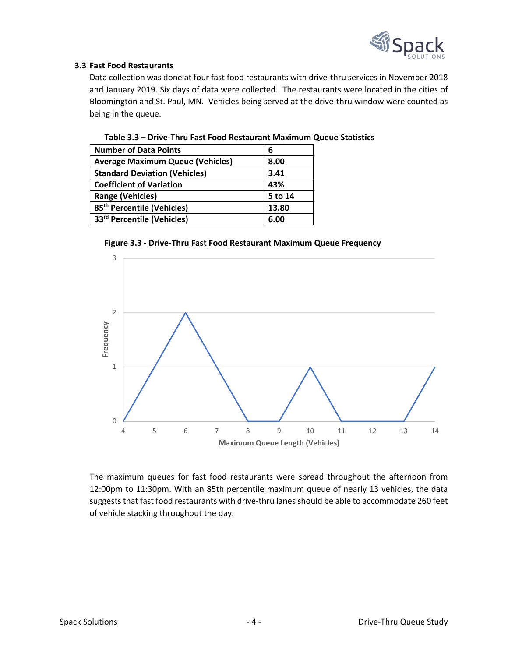

## **3.3 Fast Food Restaurants**

Data collection was done at four fast food restaurants with drive-thru services in November 2018 and January 2019. Six days of data were collected. The restaurants were located in the cities of Bloomington and St. Paul, MN. Vehicles being served at the drive-thru window were counted as being in the queue.

| <b>Number of Data Points</b>            | 6       |
|-----------------------------------------|---------|
| <b>Average Maximum Queue (Vehicles)</b> | 8.00    |
| <b>Standard Deviation (Vehicles)</b>    | 3.41    |
| <b>Coefficient of Variation</b>         | 43%     |
| <b>Range (Vehicles)</b>                 | 5 to 14 |
| 85 <sup>th</sup> Percentile (Vehicles)  | 13.80   |
| 33 <sup>rd</sup> Percentile (Vehicles)  | 6.00    |

#### **Table 3.3 – Drive-Thru Fast Food Restaurant Maximum Queue Statistics**

#### **Figure 3.3 - Drive-Thru Fast Food Restaurant Maximum Queue Frequency**



The maximum queues for fast food restaurants were spread throughout the afternoon from 12:00pm to 11:30pm. With an 85th percentile maximum queue of nearly 13 vehicles, the data suggests that fast food restaurants with drive-thru lanes should be able to accommodate 260 feet of vehicle stacking throughout the day.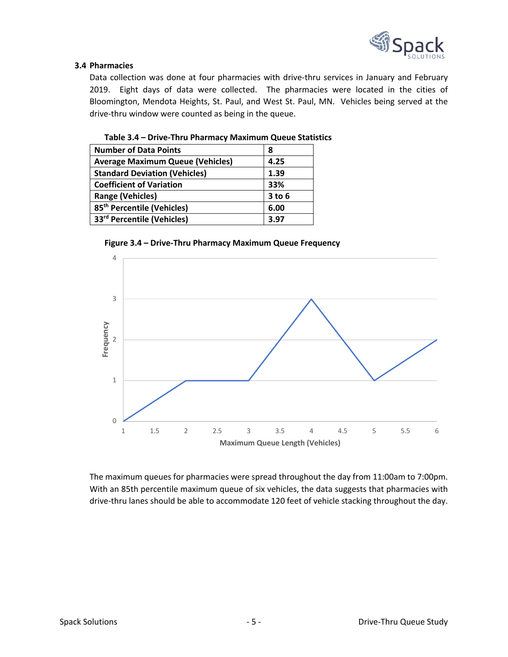

## **3.4 Pharmacies**

Data collection was done at four pharmacies with drive-thru services in January and February 2019. Eight days of data were collected. The pharmacies were located in the cities of Bloomington, Mendota Heights, St. Paul, and West St. Paul, MN. Vehicles being served at the drive-thru window were counted as being in the queue.

| <b>Number of Data Points</b>            | 8          |
|-----------------------------------------|------------|
| <b>Average Maximum Queue (Vehicles)</b> | 4.25       |
| <b>Standard Deviation (Vehicles)</b>    | 1.39       |
| <b>Coefficient of Variation</b>         | 33%        |
| <b>Range (Vehicles)</b>                 | $3$ to $6$ |
| 85 <sup>th</sup> Percentile (Vehicles)  | 6.00       |
| 33 <sup>rd</sup> Percentile (Vehicles)  | 3.97       |

#### **Table 3.4 – Drive-Thru Pharmacy Maximum Queue Statistics**

#### **Figure 3.4 – Drive-Thru Pharmacy Maximum Queue Frequency**



The maximum queues for pharmacies were spread throughout the day from 11:00am to 7:00pm. With an 85th percentile maximum queue of six vehicles, the data suggests that pharmacies with drive-thru lanes should be able to accommodate 120 feet of vehicle stacking throughout the day.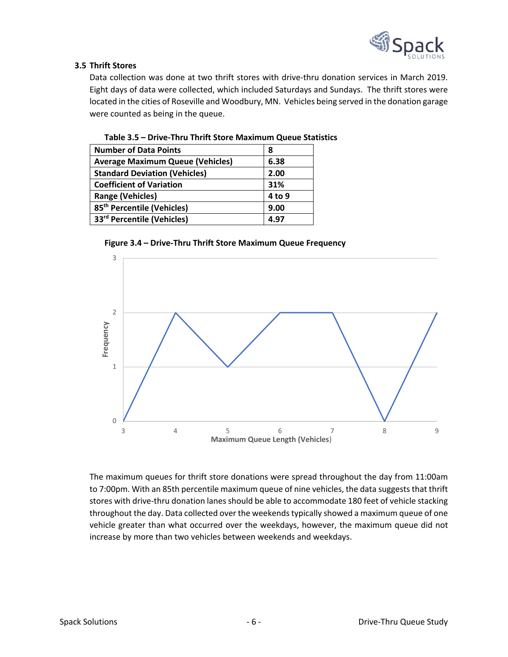

# **3.5 Thrift Stores**

Data collection was done at two thrift stores with drive-thru donation services in March 2019. Eight days of data were collected, which included Saturdays and Sundays. The thrift stores were located in the cities of Roseville and Woodbury, MN. Vehicles being served in the donation garage were counted as being in the queue.

| <b>Number of Data Points</b>            | 8      |
|-----------------------------------------|--------|
| <b>Average Maximum Queue (Vehicles)</b> | 6.38   |
| <b>Standard Deviation (Vehicles)</b>    | 2.00   |
| <b>Coefficient of Variation</b>         | 31%    |
| <b>Range (Vehicles)</b>                 | 4 to 9 |
| 85 <sup>th</sup> Percentile (Vehicles)  | 9.00   |
| 33rd Percentile (Vehicles)              | 4.97   |

# **Table 3.5 – Drive-Thru Thrift Store Maximum Queue Statistics**

#### **Figure 3.4 – Drive-Thru Thrift Store Maximum Queue Frequency**



The maximum queues for thrift store donations were spread throughout the day from 11:00am to 7:00pm. With an 85th percentile maximum queue of nine vehicles, the data suggests that thrift stores with drive-thru donation lanes should be able to accommodate 180 feet of vehicle stacking throughout the day. Data collected over the weekends typically showed a maximum queue of one vehicle greater than what occurred over the weekdays, however, the maximum queue did not increase by more than two vehicles between weekends and weekdays.